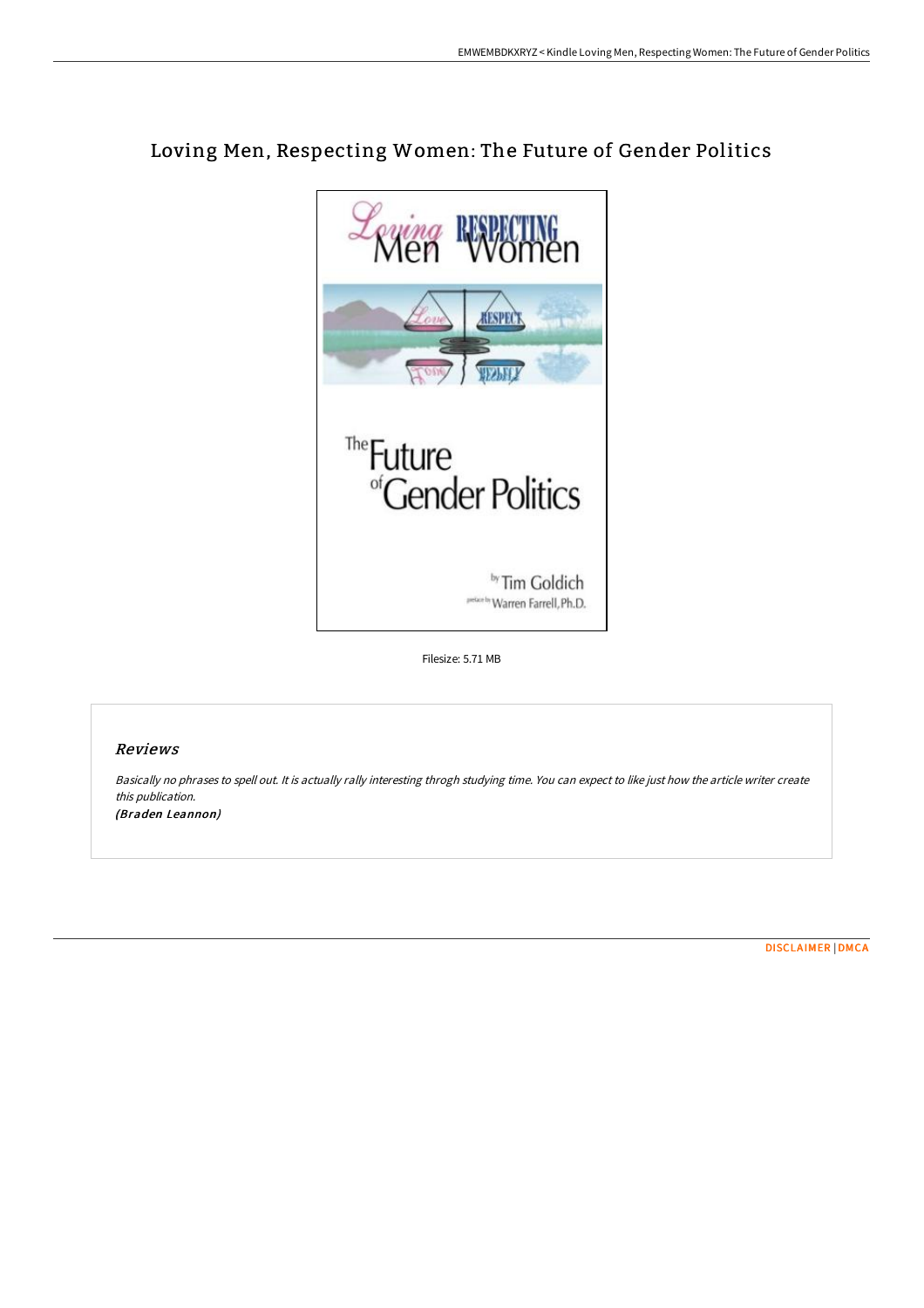

# Loving Men, Respecting Women: The Future of Gender Politics

Filesize: 5.71 MB

## Reviews

Basically no phrases to spell out. It is actually rally interesting throgh studying time. You can expect to like just how the article writer create this publication. (Braden Leannon)

[DISCLAIMER](http://www.bookdirs.com/disclaimer.html) | [DMCA](http://www.bookdirs.com/dmca.html)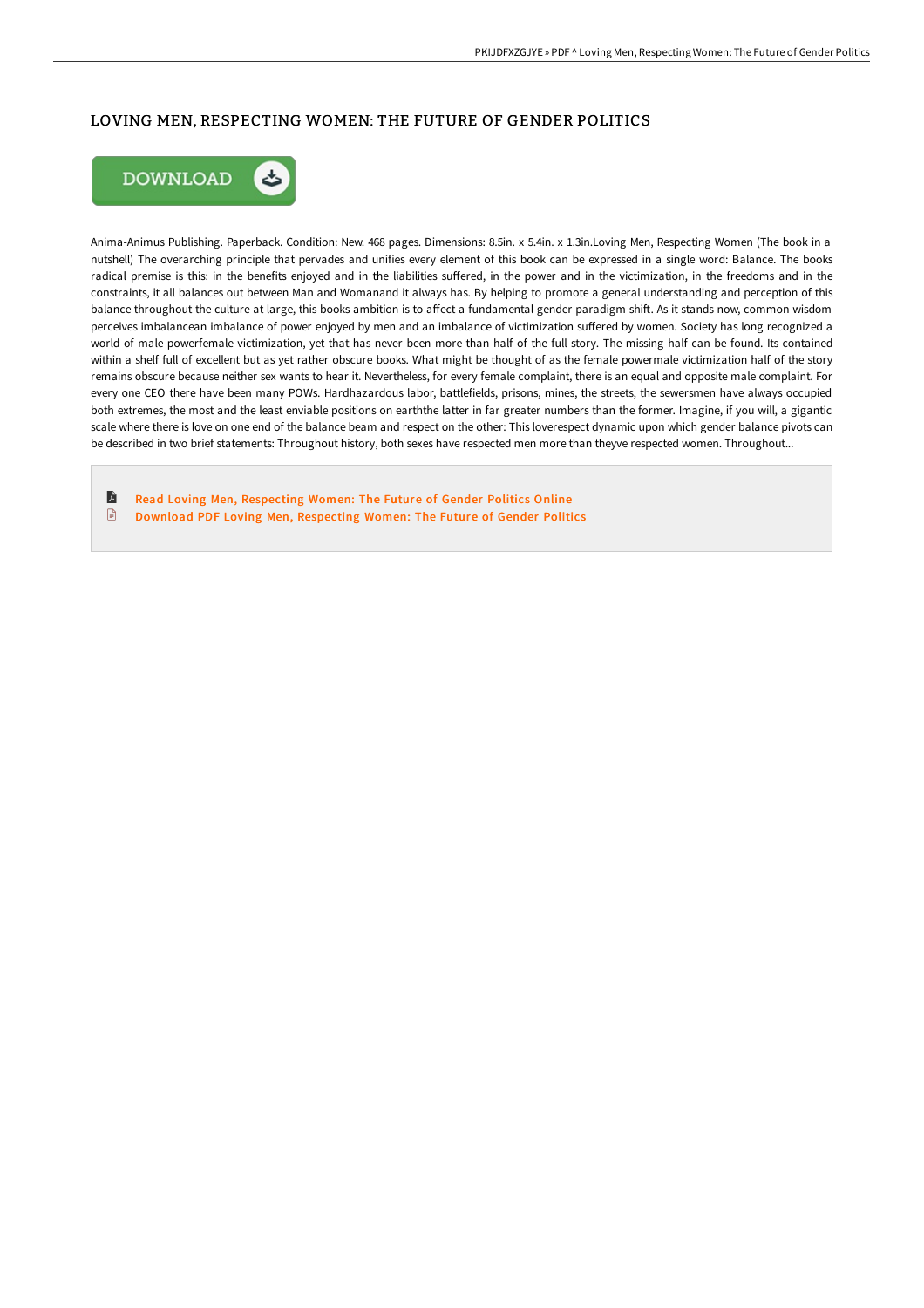# LOVING MEN, RESPECTING WOMEN: THE FUTURE OF GENDER POLITICS



Anima-Animus Publishing. Paperback. Condition: New. 468 pages. Dimensions: 8.5in. x 5.4in. x 1.3in.Loving Men, Respecting Women (The book in a nutshell) The overarching principle that pervades and unifies every element of this book can be expressed in a single word: Balance. The books radical premise is this: in the benefits enjoyed and in the liabilities suffered, in the power and in the victimization, in the freedoms and in the constraints, it all balances out between Man and Womanand it always has. By helping to promote a general understanding and perception of this balance throughout the culture at large, this books ambition is to affect a fundamental gender paradigm shift. As it stands now, common wisdom perceives imbalancean imbalance of power enjoyed by men and an imbalance of victimization suffered by women. Society has long recognized a world of male powerfemale victimization, yet that has never been more than half of the full story. The missing half can be found. Its contained within a shelf full of excellent but as yet rather obscure books. What might be thought of as the female powermale victimization half of the story remains obscure because neither sex wants to hear it. Nevertheless, for every female complaint, there is an equal and opposite male complaint. For every one CEO there have been many POWs. Hardhazardous labor, battlefields, prisons, mines, the streets, the sewersmen have always occupied both extremes, the most and the least enviable positions on earththe latter in far greater numbers than the former. Imagine, if you will, a gigantic scale where there is love on one end of the balance beam and respect on the other: This loverespect dynamic upon which gender balance pivots can be described in two brief statements: Throughout history, both sexes have respected men more than theyve respected women. Throughout...

E Read Loving Men, [Respecting](http://www.bookdirs.com/loving-men-respecting-women-the-future-of-gender.html) Women: The Future of Gender Politics Online  $\mathbf{E}$ Download PDF Loving Men, [Respecting](http://www.bookdirs.com/loving-men-respecting-women-the-future-of-gender.html) Women: The Future of Gender Politics